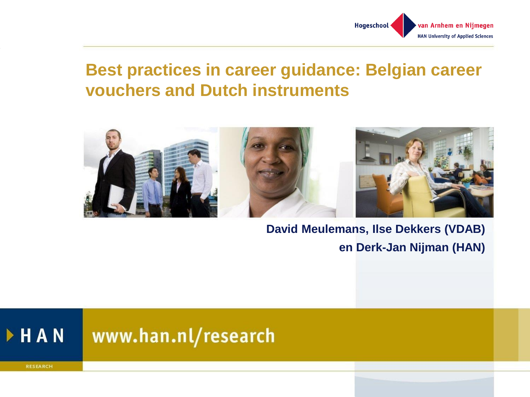

#### **Best practices in career guidance: Belgian career vouchers and Dutch instruments**



#### **David Meulemans, Ilse Dekkers (VDAB) en Derk-Jan Nijman (HAN)**

#### HAN www.han.nl/research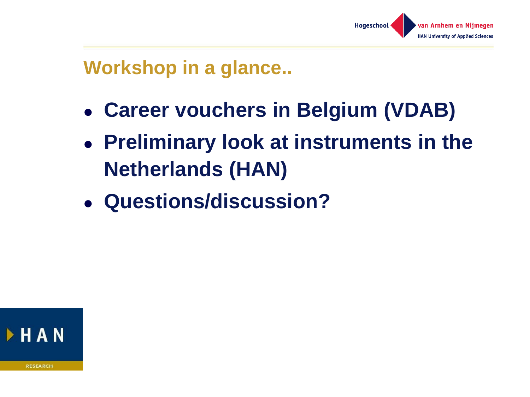

# **Workshop in a glance..**

- ⚫ **Career vouchers in Belgium (VDAB)**
- ⚫ **Preliminary look at instruments in the Netherlands (HAN)**
- ⚫ **Questions/discussion?**

**FHAN**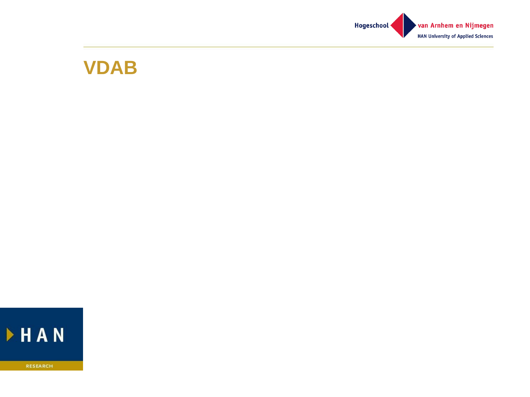

#### **VDAB**

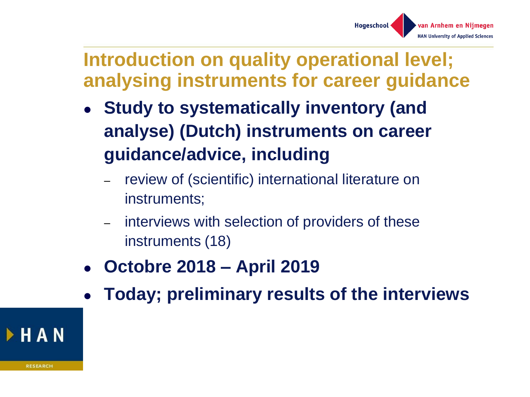

## **Introduction on quality operational level; analysing instruments for career guidance**

- ⚫ **Study to systematically inventory (and analyse) (Dutch) instruments on career guidance/advice, including**
	- review of (scientific) international literature on instruments;
	- interviews with selection of providers of these instruments (18)
- ⚫ **Octobre 2018 – April 2019**
- ⚫ **Today; preliminary results of the interviews**

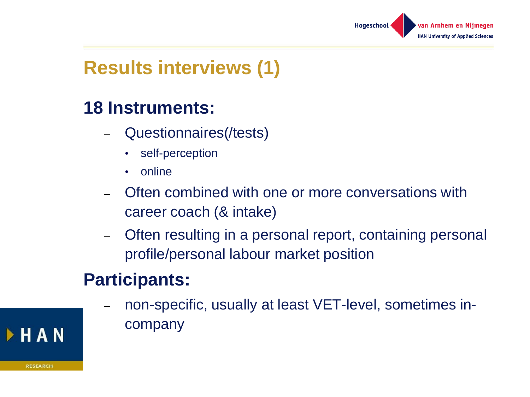

# **Results interviews (1)**

#### **18 Instruments:**

- Questionnaires(/tests)
	- self-perception
	- online
- Often combined with one or more conversations with career coach (& intake)
- Often resulting in a personal report, containing personal profile/personal labour market position

## **Participants:**

– non-specific, usually at least VET-level, sometimes incompany

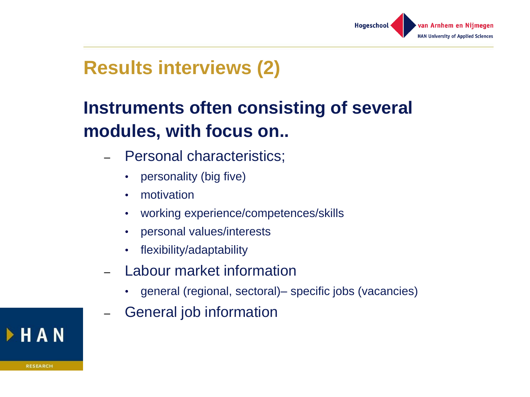

# **Results interviews (2)**

# **Instruments often consisting of several modules, with focus on..**

- Personal characteristics;
	- personality (big five)
	- motivation
	- working experience/competences/skills
	- personal values/interests
	- flexibility/adaptability
- Labour market information
	- general (regional, sectoral)– specific jobs (vacancies)
- General job information

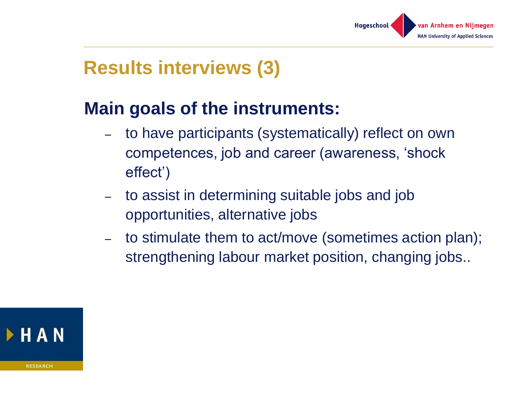

# **Results interviews (3)**

#### **Main goals of the instruments:**

- to have participants (systematically) reflect on own competences, job and career (awareness, 'shock effect')
- to assist in determining suitable jobs and job opportunities, alternative jobs
- to stimulate them to act/move (sometimes action plan); strengthening labour market position, changing jobs..

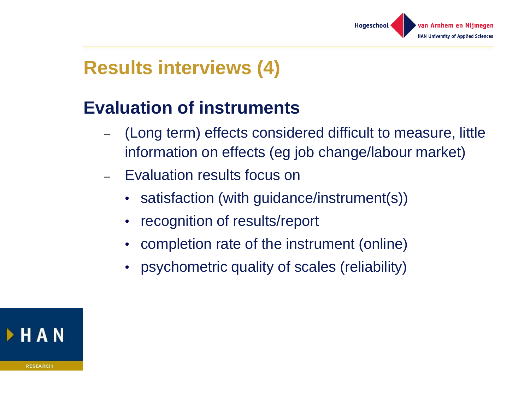

# **Results interviews (4)**

## **Evaluation of instruments**

- (Long term) effects considered difficult to measure, little information on effects (eg job change/labour market)
- Evaluation results focus on
	- satisfaction (with guidance/instrument(s))
	- recognition of results/report
	- completion rate of the instrument (online)
	- psychometric quality of scales (reliability)

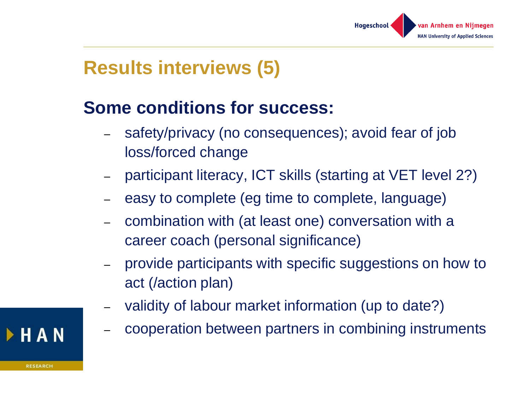

# **Results interviews (5)**

## **Some conditions for success:**

- safety/privacy (no consequences); avoid fear of job loss/forced change
- participant literacy, ICT skills (starting at VET level 2?)
- easy to complete (eg time to complete, language)
- combination with (at least one) conversation with a career coach (personal significance)
- provide participants with specific suggestions on how to act (/action plan)
- validity of labour market information (up to date?)
- cooperation between partners in combining instruments